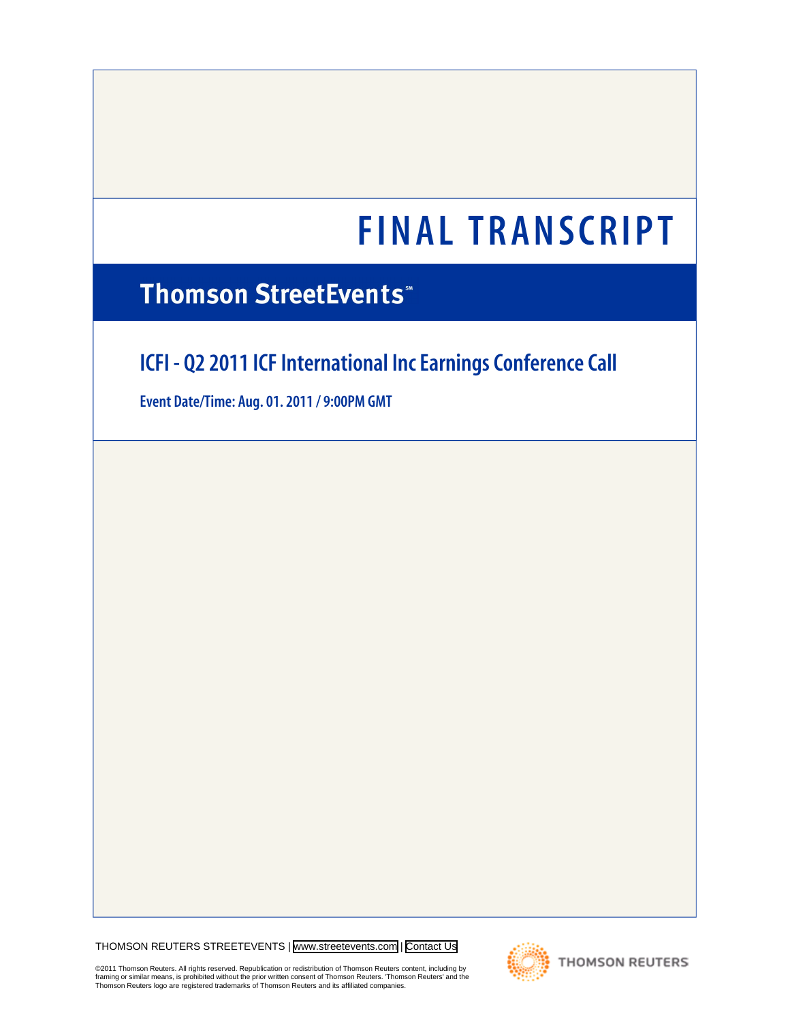# **Thomson StreetEvents**\*

# **ICFI - Q2 2011 ICF International Inc Earnings Conference Call**

**Event Date/Time: Aug. 01. 2011 / 9:00PM GMT**

THOMSON REUTERS STREETEVENTS | [www.streetevents.com](http://www.streetevents.com) | [Contact Us](http://www010.streetevents.com/contact.asp)



**THOMSON REUTERS** 

©2011 Thomson Reuters. All rights reserved. Republication or redistribution of Thomson Reuters content, including by<br>framing or similar means, is prohibited without the prior written consent of Thomson Reuters. 'Thomson Re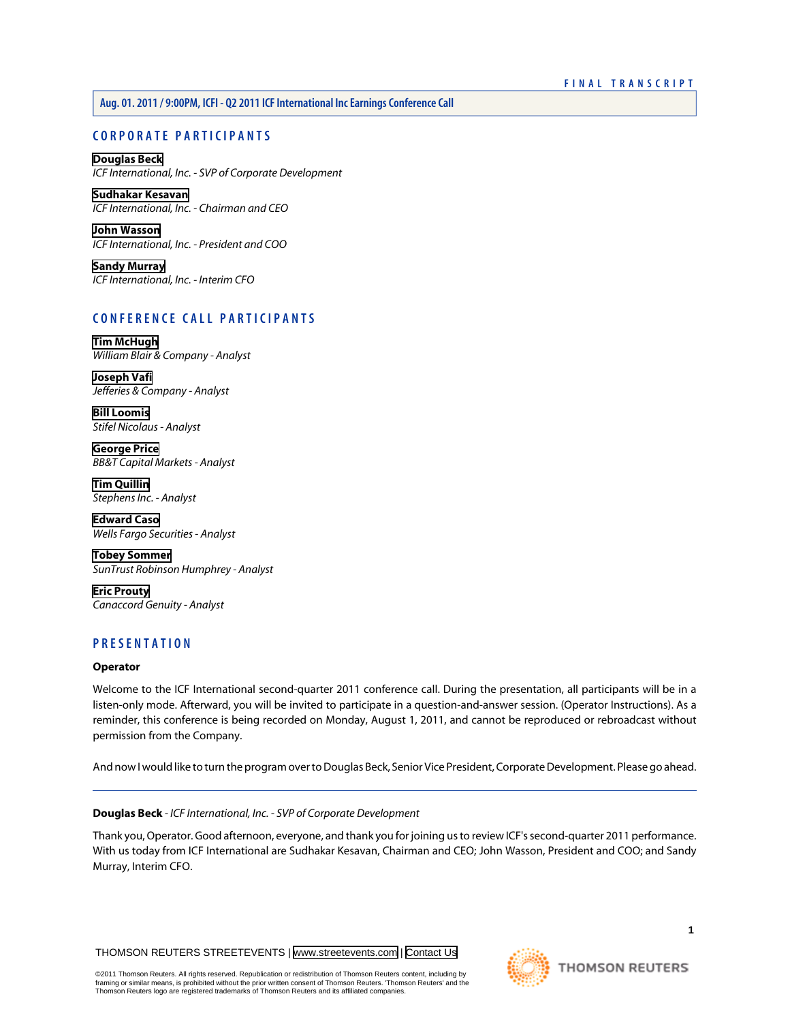**Aug. 01. 2011 / 9:00PM, ICFI - Q2 2011 ICF International Inc Earnings Conference Call**

# **CORPORATE PARTICIPANTS**

**[Douglas Beck](#page-1-0)** *ICF International, Inc. - SVP of Corporate Development*

#### **[Sudhakar Kesavan](#page-2-0)** *ICF International, Inc. - Chairman and CEO*

**[John Wasson](#page-3-0)** *ICF International, Inc. - President and COO*

**[Sandy Murray](#page-4-0)** *ICF International, Inc. - Interim CFO*

# **CONFERENCE CALL PARTICIPANTS**

**[Tim McHugh](#page-5-0)** *William Blair & Company - Analyst*

**[Joseph Vafi](#page-6-0)** *Jefferies & Company - Analyst*

**[Bill Loomis](#page-8-0)** *Stifel Nicolaus - Analyst*

**[George Price](#page-10-0)** *BB&T Capital Markets - Analyst*

**[Tim Quillin](#page-12-0)** *Stephens Inc. - Analyst*

**[Edward Caso](#page-14-0)** *Wells Fargo Securities - Analyst*

**[Tobey Sommer](#page-15-0)** *SunTrust Robinson Humphrey - Analyst*

**[Eric Prouty](#page-16-0)** *Canaccord Genuity - Analyst*

# **PRESENTATION**

# **Operator**

Welcome to the ICF International second-quarter 2011 conference call. During the presentation, all participants will be in a listen-only mode. Afterward, you will be invited to participate in a question-and-answer session. (Operator Instructions). As a reminder, this conference is being recorded on Monday, August 1, 2011, and cannot be reproduced or rebroadcast without permission from the Company.

<span id="page-1-0"></span>And now I would like to turn the program over to Douglas Beck, Senior Vice President, Corporate Development. Please go ahead.

# **Douglas Beck** *- ICF International, Inc. - SVP of Corporate Development*

Thank you, Operator. Good afternoon, everyone, and thank you for joining us to review ICF's second-quarter 2011 performance. With us today from ICF International are Sudhakar Kesavan, Chairman and CEO; John Wasson, President and COO; and Sandy Murray, Interim CFO.

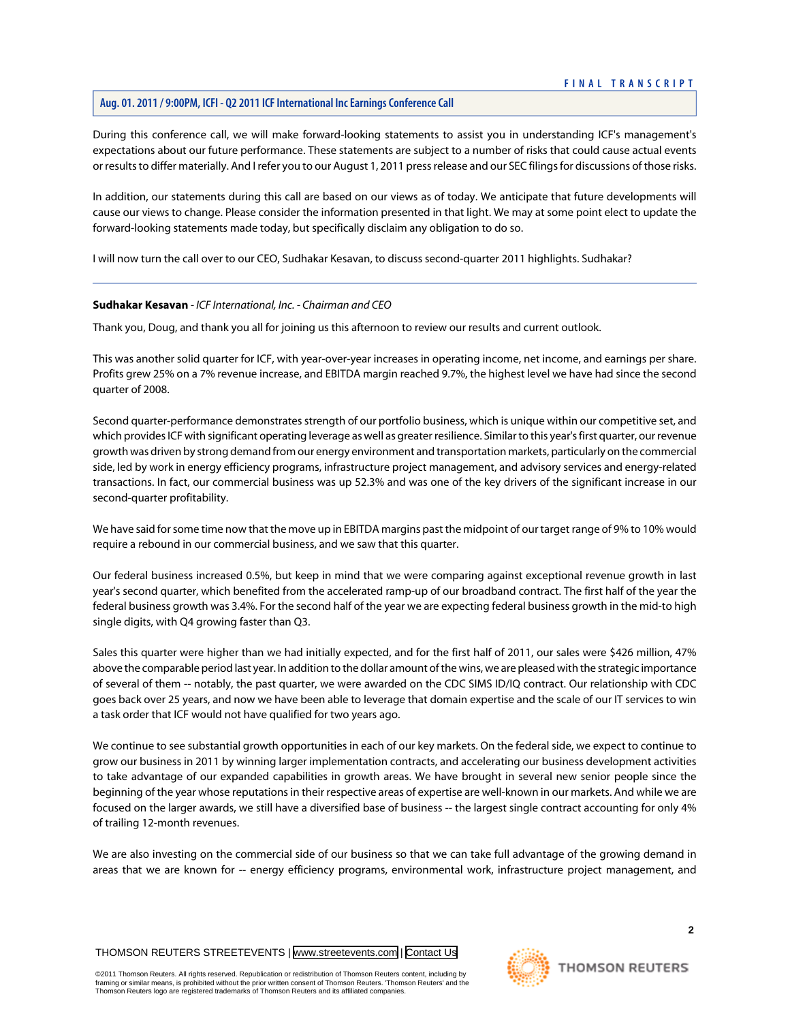# **Aug. 01. 2011 / 9:00PM, ICFI - Q2 2011 ICF International Inc Earnings Conference Call**

During this conference call, we will make forward-looking statements to assist you in understanding ICF's management's expectations about our future performance. These statements are subject to a number of risks that could cause actual events or results to differ materially. And I refer you to our August 1, 2011 press release and our SEC filings for discussions of those risks.

In addition, our statements during this call are based on our views as of today. We anticipate that future developments will cause our views to change. Please consider the information presented in that light. We may at some point elect to update the forward-looking statements made today, but specifically disclaim any obligation to do so.

<span id="page-2-0"></span>I will now turn the call over to our CEO, Sudhakar Kesavan, to discuss second-quarter 2011 highlights. Sudhakar?

# **Sudhakar Kesavan** *- ICF International, Inc. - Chairman and CEO*

Thank you, Doug, and thank you all for joining us this afternoon to review our results and current outlook.

This was another solid quarter for ICF, with year-over-year increases in operating income, net income, and earnings per share. Profits grew 25% on a 7% revenue increase, and EBITDA margin reached 9.7%, the highest level we have had since the second quarter of 2008.

Second quarter-performance demonstrates strength of our portfolio business, which is unique within our competitive set, and which provides ICF with significant operating leverage as well as greater resilience. Similar to this year's first quarter, our revenue growth was driven by strong demand from our energy environment and transportation markets, particularly on the commercial side, led by work in energy efficiency programs, infrastructure project management, and advisory services and energy-related transactions. In fact, our commercial business was up 52.3% and was one of the key drivers of the significant increase in our second-quarter profitability.

We have said for some time now that the move up in EBITDA margins past the midpoint of our target range of 9% to 10% would require a rebound in our commercial business, and we saw that this quarter.

Our federal business increased 0.5%, but keep in mind that we were comparing against exceptional revenue growth in last year's second quarter, which benefited from the accelerated ramp-up of our broadband contract. The first half of the year the federal business growth was 3.4%. For the second half of the year we are expecting federal business growth in the mid-to high single digits, with Q4 growing faster than Q3.

Sales this quarter were higher than we had initially expected, and for the first half of 2011, our sales were \$426 million, 47% above the comparable period last year. In addition to the dollar amount of the wins, we are pleased with the strategic importance of several of them -- notably, the past quarter, we were awarded on the CDC SIMS ID/IQ contract. Our relationship with CDC goes back over 25 years, and now we have been able to leverage that domain expertise and the scale of our IT services to win a task order that ICF would not have qualified for two years ago.

We continue to see substantial growth opportunities in each of our key markets. On the federal side, we expect to continue to grow our business in 2011 by winning larger implementation contracts, and accelerating our business development activities to take advantage of our expanded capabilities in growth areas. We have brought in several new senior people since the beginning of the year whose reputations in their respective areas of expertise are well-known in our markets. And while we are focused on the larger awards, we still have a diversified base of business -- the largest single contract accounting for only 4% of trailing 12-month revenues.

We are also investing on the commercial side of our business so that we can take full advantage of the growing demand in areas that we are known for -- energy efficiency programs, environmental work, infrastructure project management, and

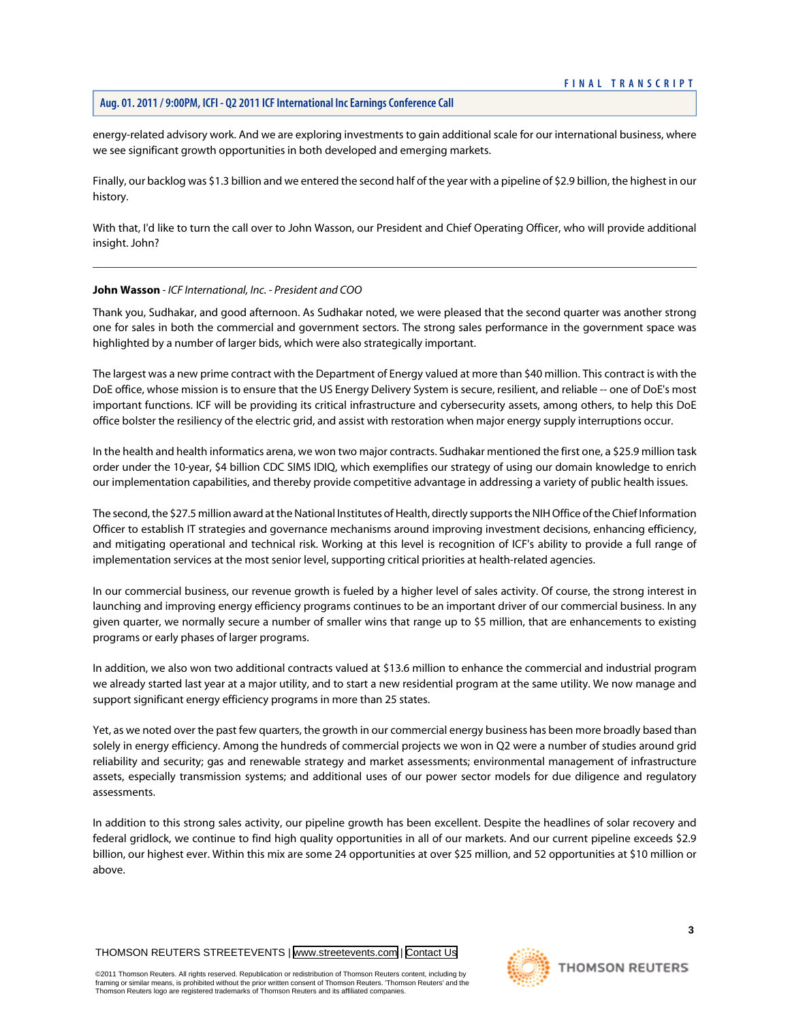energy-related advisory work. And we are exploring investments to gain additional scale for our international business, where we see significant growth opportunities in both developed and emerging markets.

Finally, our backlog was \$1.3 billion and we entered the second half of the year with a pipeline of \$2.9 billion, the highest in our history.

With that, I'd like to turn the call over to John Wasson, our President and Chief Operating Officer, who will provide additional insight. John?

# <span id="page-3-0"></span>**John Wasson** *- ICF International, Inc. - President and COO*

Thank you, Sudhakar, and good afternoon. As Sudhakar noted, we were pleased that the second quarter was another strong one for sales in both the commercial and government sectors. The strong sales performance in the government space was highlighted by a number of larger bids, which were also strategically important.

The largest was a new prime contract with the Department of Energy valued at more than \$40 million. This contract is with the DoE office, whose mission is to ensure that the US Energy Delivery System is secure, resilient, and reliable -- one of DoE's most important functions. ICF will be providing its critical infrastructure and cybersecurity assets, among others, to help this DoE office bolster the resiliency of the electric grid, and assist with restoration when major energy supply interruptions occur.

In the health and health informatics arena, we won two major contracts. Sudhakar mentioned the first one, a \$25.9 million task order under the 10-year, \$4 billion CDC SIMS IDIQ, which exemplifies our strategy of using our domain knowledge to enrich our implementation capabilities, and thereby provide competitive advantage in addressing a variety of public health issues.

The second, the \$27.5 million award at the National Institutes of Health, directly supports the NIH Office of the Chief Information Officer to establish IT strategies and governance mechanisms around improving investment decisions, enhancing efficiency, and mitigating operational and technical risk. Working at this level is recognition of ICF's ability to provide a full range of implementation services at the most senior level, supporting critical priorities at health-related agencies.

In our commercial business, our revenue growth is fueled by a higher level of sales activity. Of course, the strong interest in launching and improving energy efficiency programs continues to be an important driver of our commercial business. In any given quarter, we normally secure a number of smaller wins that range up to \$5 million, that are enhancements to existing programs or early phases of larger programs.

In addition, we also won two additional contracts valued at \$13.6 million to enhance the commercial and industrial program we already started last year at a major utility, and to start a new residential program at the same utility. We now manage and support significant energy efficiency programs in more than 25 states.

Yet, as we noted over the past few quarters, the growth in our commercial energy business has been more broadly based than solely in energy efficiency. Among the hundreds of commercial projects we won in Q2 were a number of studies around grid reliability and security; gas and renewable strategy and market assessments; environmental management of infrastructure assets, especially transmission systems; and additional uses of our power sector models for due diligence and regulatory assessments.

In addition to this strong sales activity, our pipeline growth has been excellent. Despite the headlines of solar recovery and federal gridlock, we continue to find high quality opportunities in all of our markets. And our current pipeline exceeds \$2.9 billion, our highest ever. Within this mix are some 24 opportunities at over \$25 million, and 52 opportunities at \$10 million or above.

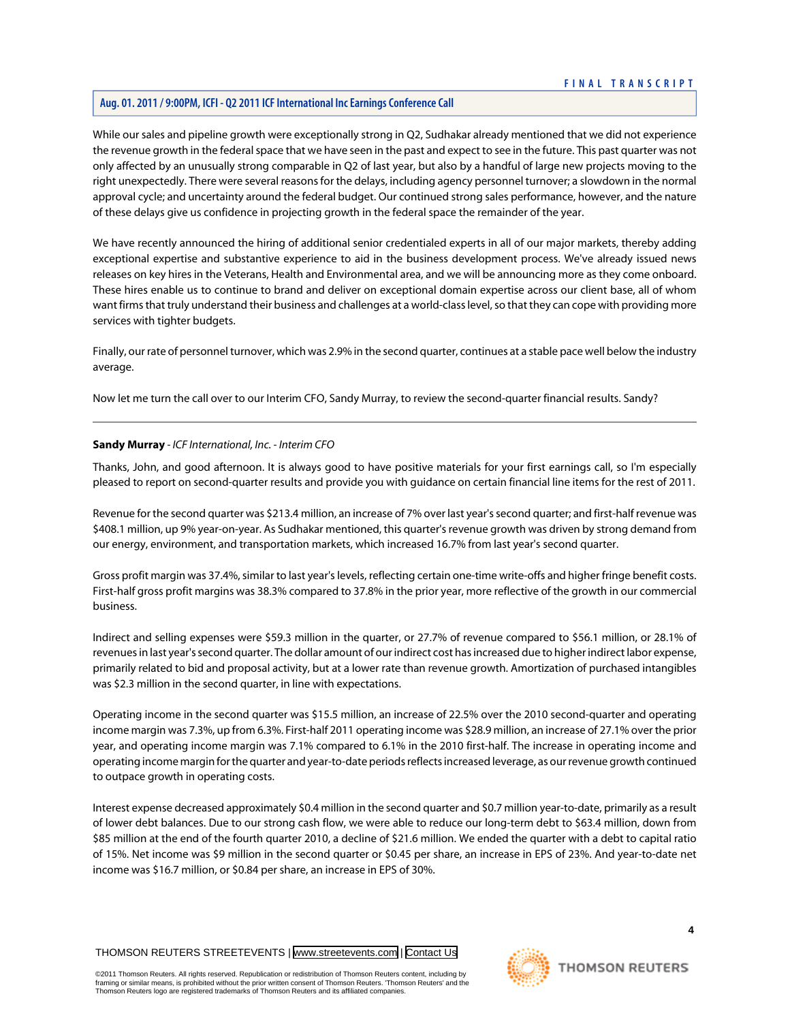While our sales and pipeline growth were exceptionally strong in Q2, Sudhakar already mentioned that we did not experience the revenue growth in the federal space that we have seen in the past and expect to see in the future. This past quarter was not only affected by an unusually strong comparable in Q2 of last year, but also by a handful of large new projects moving to the right unexpectedly. There were several reasons for the delays, including agency personnel turnover; a slowdown in the normal approval cycle; and uncertainty around the federal budget. Our continued strong sales performance, however, and the nature of these delays give us confidence in projecting growth in the federal space the remainder of the year.

We have recently announced the hiring of additional senior credentialed experts in all of our major markets, thereby adding exceptional expertise and substantive experience to aid in the business development process. We've already issued news releases on key hires in the Veterans, Health and Environmental area, and we will be announcing more as they come onboard. These hires enable us to continue to brand and deliver on exceptional domain expertise across our client base, all of whom want firms that truly understand their business and challenges at a world-class level, so that they can cope with providing more services with tighter budgets.

Finally, our rate of personnel turnover, which was 2.9% in the second quarter, continues at a stable pace well below the industry average.

<span id="page-4-0"></span>Now let me turn the call over to our Interim CFO, Sandy Murray, to review the second-quarter financial results. Sandy?

# **Sandy Murray** *- ICF International, Inc. - Interim CFO*

Thanks, John, and good afternoon. It is always good to have positive materials for your first earnings call, so I'm especially pleased to report on second-quarter results and provide you with guidance on certain financial line items for the rest of 2011.

Revenue for the second quarter was \$213.4 million, an increase of 7% over last year's second quarter; and first-half revenue was \$408.1 million, up 9% year-on-year. As Sudhakar mentioned, this quarter's revenue growth was driven by strong demand from our energy, environment, and transportation markets, which increased 16.7% from last year's second quarter.

Gross profit margin was 37.4%, similar to last year's levels, reflecting certain one-time write-offs and higher fringe benefit costs. First-half gross profit margins was 38.3% compared to 37.8% in the prior year, more reflective of the growth in our commercial business.

Indirect and selling expenses were \$59.3 million in the quarter, or 27.7% of revenue compared to \$56.1 million, or 28.1% of revenues in last year's second quarter. The dollar amount of our indirect cost has increased due to higher indirect labor expense, primarily related to bid and proposal activity, but at a lower rate than revenue growth. Amortization of purchased intangibles was \$2.3 million in the second quarter, in line with expectations.

Operating income in the second quarter was \$15.5 million, an increase of 22.5% over the 2010 second-quarter and operating income margin was 7.3%, up from 6.3%. First-half 2011 operating income was \$28.9 million, an increase of 27.1% over the prior year, and operating income margin was 7.1% compared to 6.1% in the 2010 first-half. The increase in operating income and operating income margin for the quarter and year-to-date periods reflects increased leverage, as our revenue growth continued to outpace growth in operating costs.

Interest expense decreased approximately \$0.4 million in the second quarter and \$0.7 million year-to-date, primarily as a result of lower debt balances. Due to our strong cash flow, we were able to reduce our long-term debt to \$63.4 million, down from \$85 million at the end of the fourth quarter 2010, a decline of \$21.6 million. We ended the quarter with a debt to capital ratio of 15%. Net income was \$9 million in the second quarter or \$0.45 per share, an increase in EPS of 23%. And year-to-date net income was \$16.7 million, or \$0.84 per share, an increase in EPS of 30%.

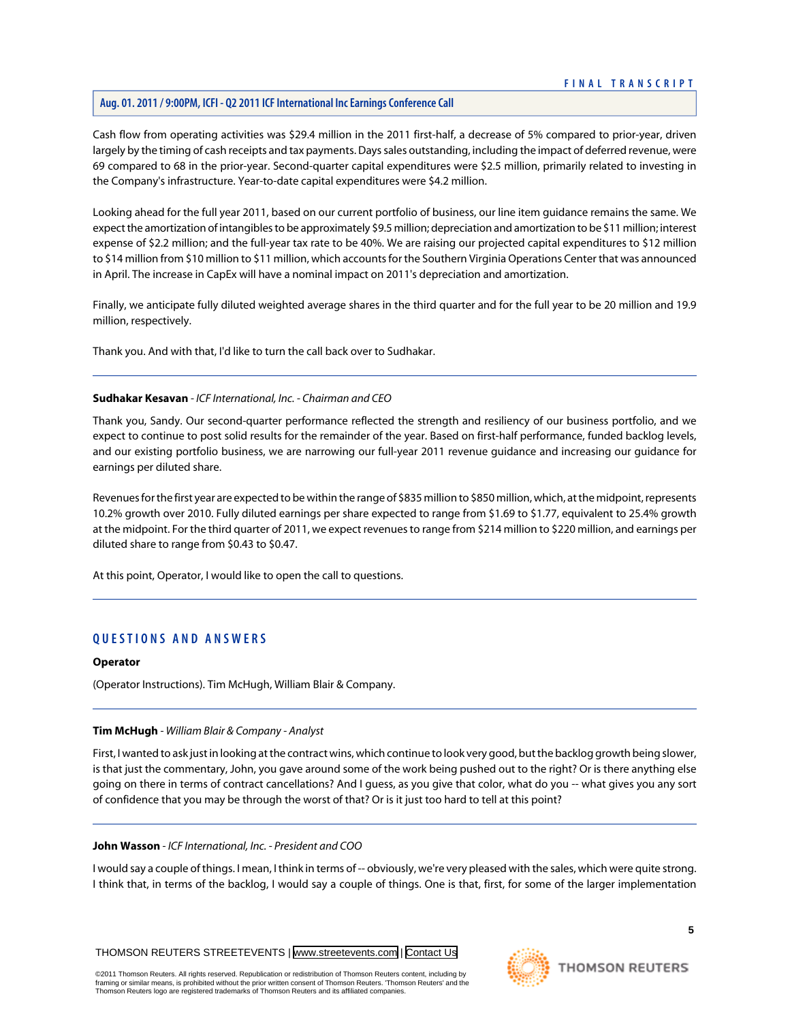# **Aug. 01. 2011 / 9:00PM, ICFI - Q2 2011 ICF International Inc Earnings Conference Call**

Cash flow from operating activities was \$29.4 million in the 2011 first-half, a decrease of 5% compared to prior-year, driven largely by the timing of cash receipts and tax payments. Days sales outstanding, including the impact of deferred revenue, were 69 compared to 68 in the prior-year. Second-quarter capital expenditures were \$2.5 million, primarily related to investing in the Company's infrastructure. Year-to-date capital expenditures were \$4.2 million.

Looking ahead for the full year 2011, based on our current portfolio of business, our line item guidance remains the same. We expect the amortization of intangibles to be approximately \$9.5 million; depreciation and amortization to be \$11 million; interest expense of \$2.2 million; and the full-year tax rate to be 40%. We are raising our projected capital expenditures to \$12 million to \$14 million from \$10 million to \$11 million, which accounts for the Southern Virginia Operations Center that was announced in April. The increase in CapEx will have a nominal impact on 2011's depreciation and amortization.

Finally, we anticipate fully diluted weighted average shares in the third quarter and for the full year to be 20 million and 19.9 million, respectively.

Thank you. And with that, I'd like to turn the call back over to Sudhakar.

# **Sudhakar Kesavan** *- ICF International, Inc. - Chairman and CEO*

Thank you, Sandy. Our second-quarter performance reflected the strength and resiliency of our business portfolio, and we expect to continue to post solid results for the remainder of the year. Based on first-half performance, funded backlog levels, and our existing portfolio business, we are narrowing our full-year 2011 revenue guidance and increasing our guidance for earnings per diluted share.

Revenues for the first year are expected to be within the range of \$835 million to \$850 million, which, at the midpoint, represents 10.2% growth over 2010. Fully diluted earnings per share expected to range from \$1.69 to \$1.77, equivalent to 25.4% growth at the midpoint. For the third quarter of 2011, we expect revenues to range from \$214 million to \$220 million, and earnings per diluted share to range from \$0.43 to \$0.47.

At this point, Operator, I would like to open the call to questions.

# **QUESTIONS AND ANSWERS**

# <span id="page-5-0"></span>**Operator**

(Operator Instructions). Tim McHugh, William Blair & Company.

# **Tim McHugh** *- William Blair & Company - Analyst*

First, I wanted to ask just in looking at the contract wins, which continue to look very good, but the backlog growth being slower, is that just the commentary, John, you gave around some of the work being pushed out to the right? Or is there anything else going on there in terms of contract cancellations? And I guess, as you give that color, what do you -- what gives you any sort of confidence that you may be through the worst of that? Or is it just too hard to tell at this point?

# **John Wasson** *- ICF International, Inc. - President and COO*

I would say a couple of things. I mean, I think in terms of -- obviously, we're very pleased with the sales, which were quite strong. I think that, in terms of the backlog, I would say a couple of things. One is that, first, for some of the larger implementation

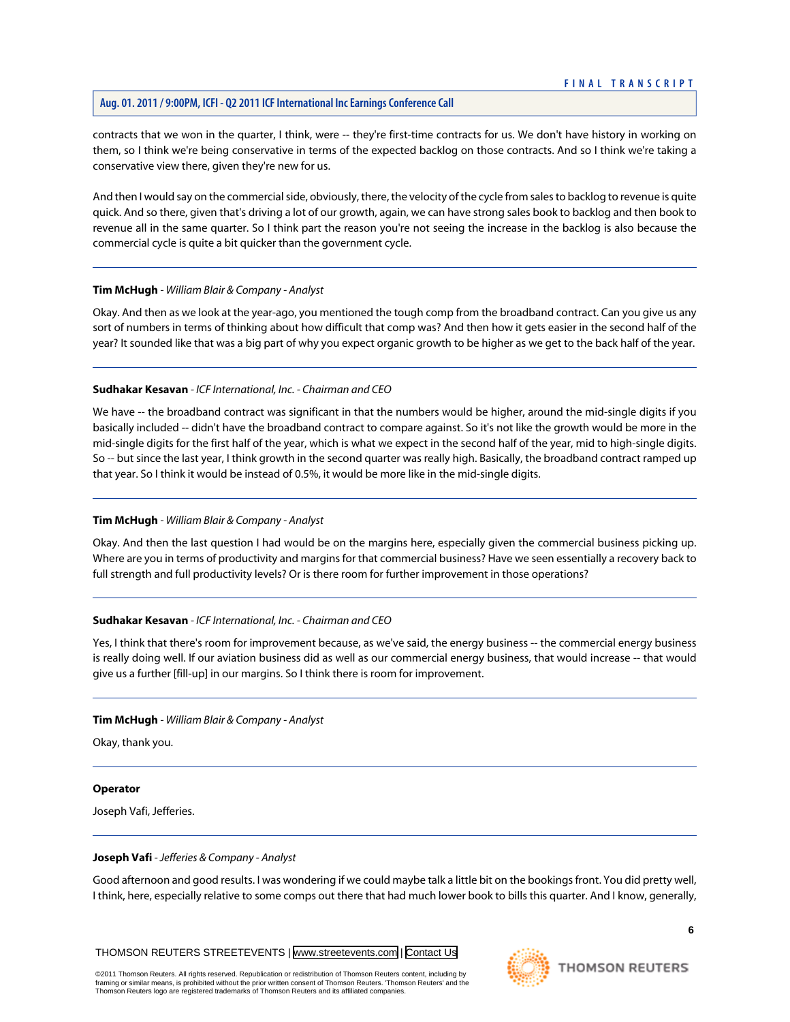# **Aug. 01. 2011 / 9:00PM, ICFI - Q2 2011 ICF International Inc Earnings Conference Call**

contracts that we won in the quarter, I think, were -- they're first-time contracts for us. We don't have history in working on them, so I think we're being conservative in terms of the expected backlog on those contracts. And so I think we're taking a conservative view there, given they're new for us.

And then I would say on the commercial side, obviously, there, the velocity of the cycle from sales to backlog to revenue is quite quick. And so there, given that's driving a lot of our growth, again, we can have strong sales book to backlog and then book to revenue all in the same quarter. So I think part the reason you're not seeing the increase in the backlog is also because the commercial cycle is quite a bit quicker than the government cycle.

# **Tim McHugh** *- William Blair & Company - Analyst*

Okay. And then as we look at the year-ago, you mentioned the tough comp from the broadband contract. Can you give us any sort of numbers in terms of thinking about how difficult that comp was? And then how it gets easier in the second half of the year? It sounded like that was a big part of why you expect organic growth to be higher as we get to the back half of the year.

# **Sudhakar Kesavan** *- ICF International, Inc. - Chairman and CEO*

We have -- the broadband contract was significant in that the numbers would be higher, around the mid-single digits if you basically included -- didn't have the broadband contract to compare against. So it's not like the growth would be more in the mid-single digits for the first half of the year, which is what we expect in the second half of the year, mid to high-single digits. So -- but since the last year, I think growth in the second quarter was really high. Basically, the broadband contract ramped up that year. So I think it would be instead of 0.5%, it would be more like in the mid-single digits.

# **Tim McHugh** *- William Blair & Company - Analyst*

Okay. And then the last question I had would be on the margins here, especially given the commercial business picking up. Where are you in terms of productivity and margins for that commercial business? Have we seen essentially a recovery back to full strength and full productivity levels? Or is there room for further improvement in those operations?

# **Sudhakar Kesavan** *- ICF International, Inc. - Chairman and CEO*

Yes, I think that there's room for improvement because, as we've said, the energy business -- the commercial energy business is really doing well. If our aviation business did as well as our commercial energy business, that would increase -- that would give us a further [fill-up] in our margins. So I think there is room for improvement.

# **Tim McHugh** *- William Blair & Company - Analyst*

Okay, thank you.

# <span id="page-6-0"></span>**Operator**

Joseph Vafi, Jefferies.

# **Joseph Vafi** *- Jefferies & Company - Analyst*

Good afternoon and good results. I was wondering if we could maybe talk a little bit on the bookings front. You did pretty well, I think, here, especially relative to some comps out there that had much lower book to bills this quarter. And I know, generally,

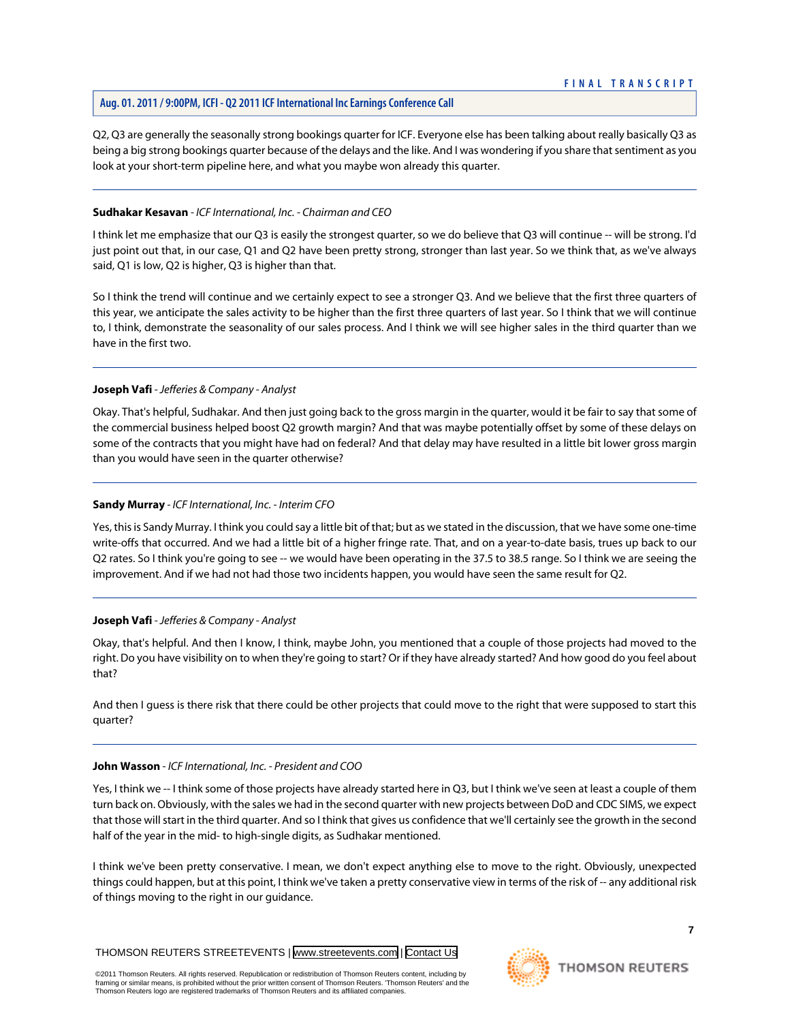Q2, Q3 are generally the seasonally strong bookings quarter for ICF. Everyone else has been talking about really basically Q3 as being a big strong bookings quarter because of the delays and the like. And I was wondering if you share that sentiment as you look at your short-term pipeline here, and what you maybe won already this quarter.

# **Sudhakar Kesavan** *- ICF International, Inc. - Chairman and CEO*

I think let me emphasize that our Q3 is easily the strongest quarter, so we do believe that Q3 will continue -- will be strong. I'd just point out that, in our case, Q1 and Q2 have been pretty strong, stronger than last year. So we think that, as we've always said, Q1 is low, Q2 is higher, Q3 is higher than that.

So I think the trend will continue and we certainly expect to see a stronger Q3. And we believe that the first three quarters of this year, we anticipate the sales activity to be higher than the first three quarters of last year. So I think that we will continue to, I think, demonstrate the seasonality of our sales process. And I think we will see higher sales in the third quarter than we have in the first two.

# **Joseph Vafi** *- Jefferies & Company - Analyst*

Okay. That's helpful, Sudhakar. And then just going back to the gross margin in the quarter, would it be fair to say that some of the commercial business helped boost Q2 growth margin? And that was maybe potentially offset by some of these delays on some of the contracts that you might have had on federal? And that delay may have resulted in a little bit lower gross margin than you would have seen in the quarter otherwise?

# **Sandy Murray** *- ICF International, Inc. - Interim CFO*

Yes, this is Sandy Murray. I think you could say a little bit of that; but as we stated in the discussion, that we have some one-time write-offs that occurred. And we had a little bit of a higher fringe rate. That, and on a year-to-date basis, trues up back to our Q2 rates. So I think you're going to see -- we would have been operating in the 37.5 to 38.5 range. So I think we are seeing the improvement. And if we had not had those two incidents happen, you would have seen the same result for Q2.

# **Joseph Vafi** *- Jefferies & Company - Analyst*

Okay, that's helpful. And then I know, I think, maybe John, you mentioned that a couple of those projects had moved to the right. Do you have visibility on to when they're going to start? Or if they have already started? And how good do you feel about that?

And then I guess is there risk that there could be other projects that could move to the right that were supposed to start this quarter?

# **John Wasson** *- ICF International, Inc. - President and COO*

Yes, I think we -- I think some of those projects have already started here in Q3, but I think we've seen at least a couple of them turn back on. Obviously, with the sales we had in the second quarter with new projects between DoD and CDC SIMS, we expect that those will start in the third quarter. And so I think that gives us confidence that we'll certainly see the growth in the second half of the year in the mid- to high-single digits, as Sudhakar mentioned.

I think we've been pretty conservative. I mean, we don't expect anything else to move to the right. Obviously, unexpected things could happen, but at this point, I think we've taken a pretty conservative view in terms of the risk of -- any additional risk of things moving to the right in our guidance.

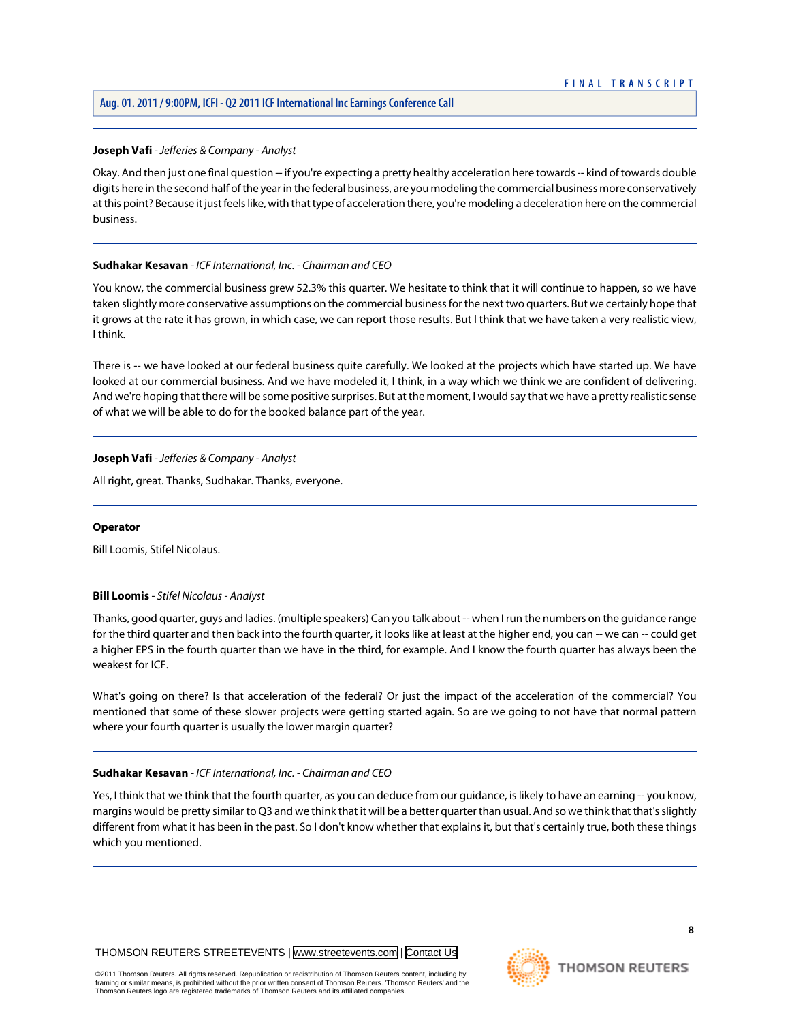# **Aug. 01. 2011 / 9:00PM, ICFI - Q2 2011 ICF International Inc Earnings Conference Call**

# **Joseph Vafi** *- Jefferies & Company - Analyst*

Okay. And then just one final question -- if you're expecting a pretty healthy acceleration here towards -- kind of towards double digits here in the second half of the year in the federal business, are you modeling the commercial business more conservatively at this point? Because it just feels like, with that type of acceleration there, you're modeling a deceleration here on the commercial business.

# **Sudhakar Kesavan** *- ICF International, Inc. - Chairman and CEO*

You know, the commercial business grew 52.3% this quarter. We hesitate to think that it will continue to happen, so we have taken slightly more conservative assumptions on the commercial business for the next two quarters. But we certainly hope that it grows at the rate it has grown, in which case, we can report those results. But I think that we have taken a very realistic view, I think.

There is -- we have looked at our federal business quite carefully. We looked at the projects which have started up. We have looked at our commercial business. And we have modeled it, I think, in a way which we think we are confident of delivering. And we're hoping that there will be some positive surprises. But at the moment, I would say that we have a pretty realistic sense of what we will be able to do for the booked balance part of the year.

# **Joseph Vafi** *- Jefferies & Company - Analyst*

All right, great. Thanks, Sudhakar. Thanks, everyone.

# <span id="page-8-0"></span>**Operator**

Bill Loomis, Stifel Nicolaus.

# **Bill Loomis** *- Stifel Nicolaus - Analyst*

Thanks, good quarter, guys and ladies. (multiple speakers) Can you talk about -- when I run the numbers on the guidance range for the third quarter and then back into the fourth quarter, it looks like at least at the higher end, you can -- we can -- could get a higher EPS in the fourth quarter than we have in the third, for example. And I know the fourth quarter has always been the weakest for ICF.

What's going on there? Is that acceleration of the federal? Or just the impact of the acceleration of the commercial? You mentioned that some of these slower projects were getting started again. So are we going to not have that normal pattern where your fourth quarter is usually the lower margin quarter?

#### **Sudhakar Kesavan** *- ICF International, Inc. - Chairman and CEO*

Yes, I think that we think that the fourth quarter, as you can deduce from our guidance, is likely to have an earning -- you know, margins would be pretty similar to Q3 and we think that it will be a better quarter than usual. And so we think that that's slightly different from what it has been in the past. So I don't know whether that explains it, but that's certainly true, both these things which you mentioned.

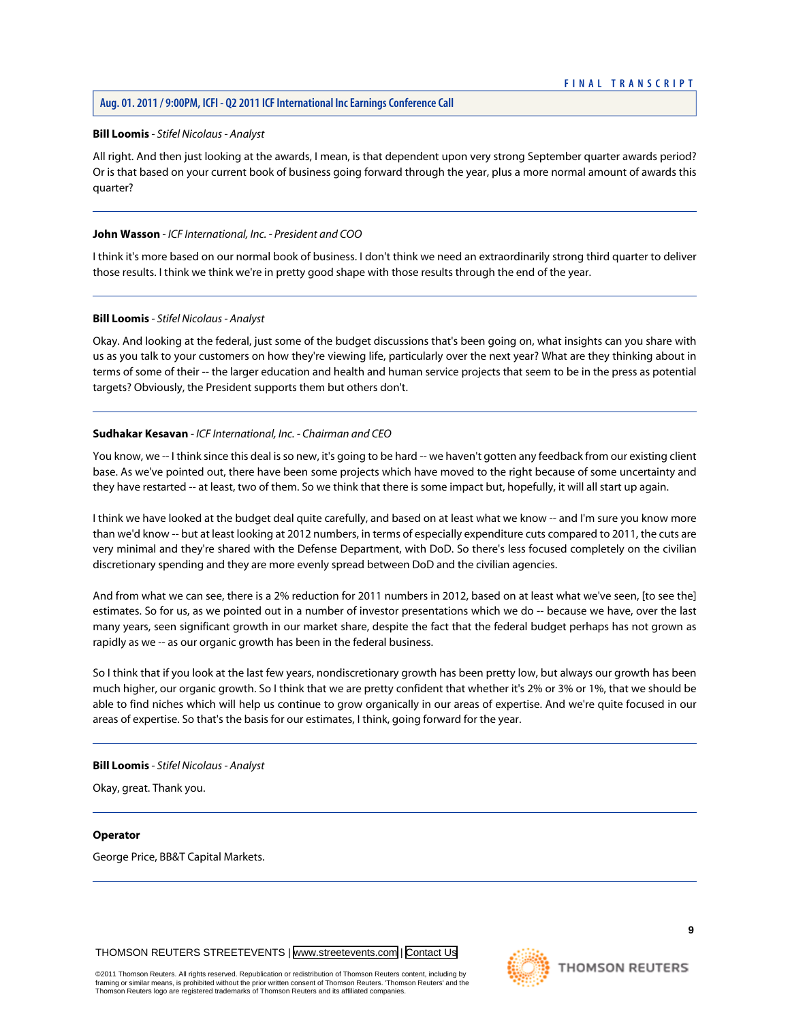# **Bill Loomis** *- Stifel Nicolaus - Analyst*

All right. And then just looking at the awards, I mean, is that dependent upon very strong September quarter awards period? Or is that based on your current book of business going forward through the year, plus a more normal amount of awards this quarter?

#### **John Wasson** *- ICF International, Inc. - President and COO*

I think it's more based on our normal book of business. I don't think we need an extraordinarily strong third quarter to deliver those results. I think we think we're in pretty good shape with those results through the end of the year.

#### **Bill Loomis** *- Stifel Nicolaus - Analyst*

Okay. And looking at the federal, just some of the budget discussions that's been going on, what insights can you share with us as you talk to your customers on how they're viewing life, particularly over the next year? What are they thinking about in terms of some of their -- the larger education and health and human service projects that seem to be in the press as potential targets? Obviously, the President supports them but others don't.

# **Sudhakar Kesavan** *- ICF International, Inc. - Chairman and CEO*

You know, we -- I think since this deal is so new, it's going to be hard -- we haven't gotten any feedback from our existing client base. As we've pointed out, there have been some projects which have moved to the right because of some uncertainty and they have restarted -- at least, two of them. So we think that there is some impact but, hopefully, it will all start up again.

I think we have looked at the budget deal quite carefully, and based on at least what we know -- and I'm sure you know more than we'd know -- but at least looking at 2012 numbers, in terms of especially expenditure cuts compared to 2011, the cuts are very minimal and they're shared with the Defense Department, with DoD. So there's less focused completely on the civilian discretionary spending and they are more evenly spread between DoD and the civilian agencies.

And from what we can see, there is a 2% reduction for 2011 numbers in 2012, based on at least what we've seen, [to see the] estimates. So for us, as we pointed out in a number of investor presentations which we do -- because we have, over the last many years, seen significant growth in our market share, despite the fact that the federal budget perhaps has not grown as rapidly as we -- as our organic growth has been in the federal business.

So I think that if you look at the last few years, nondiscretionary growth has been pretty low, but always our growth has been much higher, our organic growth. So I think that we are pretty confident that whether it's 2% or 3% or 1%, that we should be able to find niches which will help us continue to grow organically in our areas of expertise. And we're quite focused in our areas of expertise. So that's the basis for our estimates, I think, going forward for the year.

#### **Bill Loomis** *- Stifel Nicolaus - Analyst*

Okay, great. Thank you.

#### **Operator**

George Price, BB&T Capital Markets.

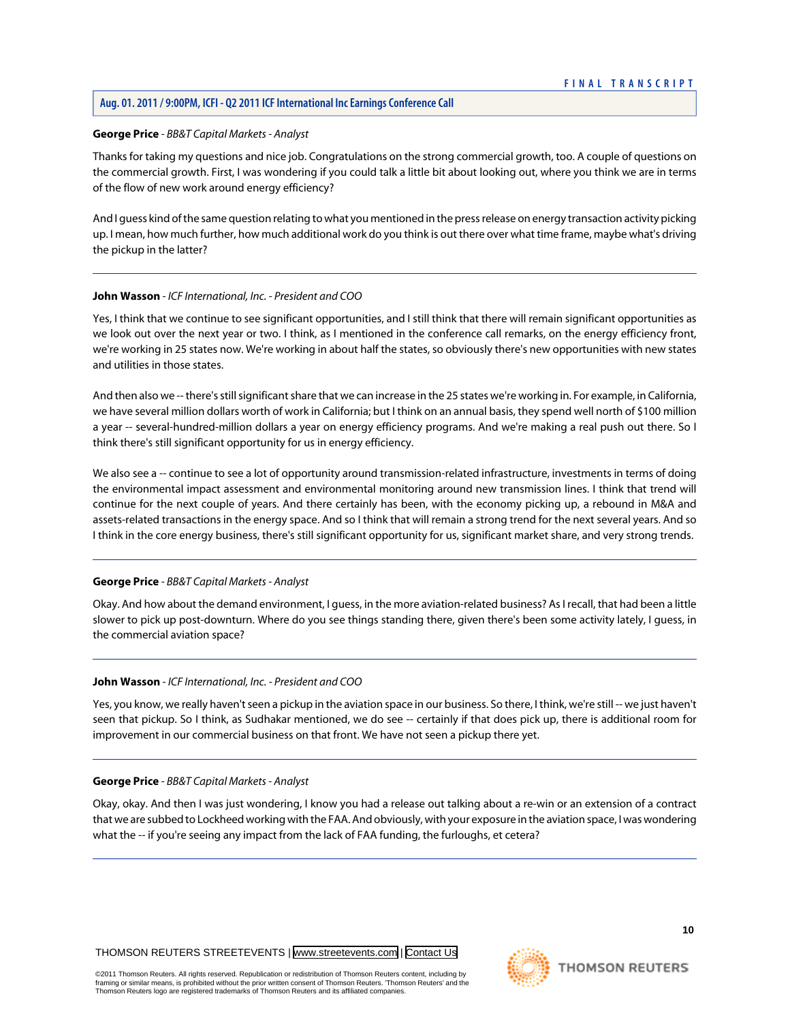# **Aug. 01. 2011 / 9:00PM, ICFI - Q2 2011 ICF International Inc Earnings Conference Call**

# <span id="page-10-0"></span>**George Price** *- BB&T Capital Markets - Analyst*

Thanks for taking my questions and nice job. Congratulations on the strong commercial growth, too. A couple of questions on the commercial growth. First, I was wondering if you could talk a little bit about looking out, where you think we are in terms of the flow of new work around energy efficiency?

And I guess kind of the same question relating to what you mentioned in the press release on energy transaction activity picking up. I mean, how much further, how much additional work do you think is out there over what time frame, maybe what's driving the pickup in the latter?

# **John Wasson** *- ICF International, Inc. - President and COO*

Yes, I think that we continue to see significant opportunities, and I still think that there will remain significant opportunities as we look out over the next year or two. I think, as I mentioned in the conference call remarks, on the energy efficiency front, we're working in 25 states now. We're working in about half the states, so obviously there's new opportunities with new states and utilities in those states.

And then also we -- there's still significant share that we can increase in the 25 states we're working in. For example, in California, we have several million dollars worth of work in California; but I think on an annual basis, they spend well north of \$100 million a year -- several-hundred-million dollars a year on energy efficiency programs. And we're making a real push out there. So I think there's still significant opportunity for us in energy efficiency.

We also see a -- continue to see a lot of opportunity around transmission-related infrastructure, investments in terms of doing the environmental impact assessment and environmental monitoring around new transmission lines. I think that trend will continue for the next couple of years. And there certainly has been, with the economy picking up, a rebound in M&A and assets-related transactions in the energy space. And so I think that will remain a strong trend for the next several years. And so I think in the core energy business, there's still significant opportunity for us, significant market share, and very strong trends.

# **George Price** *- BB&T Capital Markets - Analyst*

Okay. And how about the demand environment, I guess, in the more aviation-related business? As I recall, that had been a little slower to pick up post-downturn. Where do you see things standing there, given there's been some activity lately, I guess, in the commercial aviation space?

# **John Wasson** *- ICF International, Inc. - President and COO*

Yes, you know, we really haven't seen a pickup in the aviation space in our business. So there, I think, we're still -- we just haven't seen that pickup. So I think, as Sudhakar mentioned, we do see -- certainly if that does pick up, there is additional room for improvement in our commercial business on that front. We have not seen a pickup there yet.

# **George Price** *- BB&T Capital Markets - Analyst*

Okay, okay. And then I was just wondering, I know you had a release out talking about a re-win or an extension of a contract that we are subbed to Lockheed working with the FAA. And obviously, with your exposure in the aviation space, I was wondering what the -- if you're seeing any impact from the lack of FAA funding, the furloughs, et cetera?

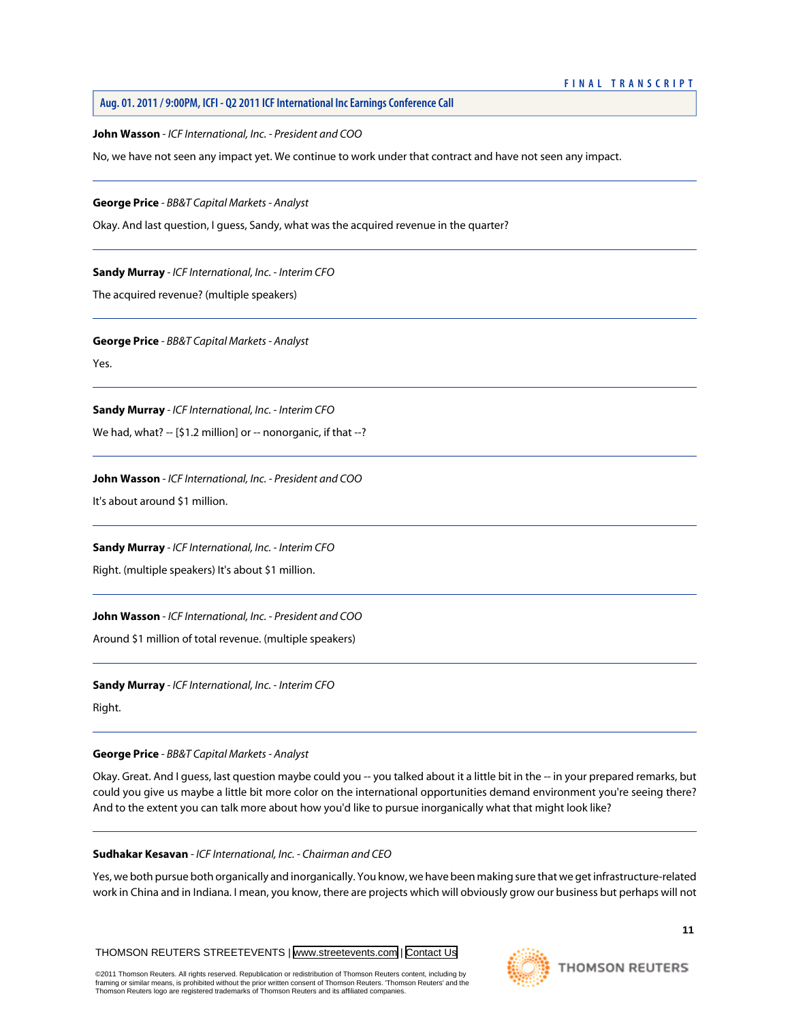**Aug. 01. 2011 / 9:00PM, ICFI - Q2 2011 ICF International Inc Earnings Conference Call**

**John Wasson** *- ICF International, Inc. - President and COO*

No, we have not seen any impact yet. We continue to work under that contract and have not seen any impact.

**George Price** *- BB&T Capital Markets - Analyst*

Okay. And last question, I guess, Sandy, what was the acquired revenue in the quarter?

**Sandy Murray** *- ICF International, Inc. - Interim CFO*

The acquired revenue? (multiple speakers)

**George Price** *- BB&T Capital Markets - Analyst*

Yes.

**Sandy Murray** *- ICF International, Inc. - Interim CFO*

We had, what? -- [\$1.2 million] or -- nonorganic, if that --?

**John Wasson** *- ICF International, Inc. - President and COO* It's about around \$1 million.

**Sandy Murray** *- ICF International, Inc. - Interim CFO*

Right. (multiple speakers) It's about \$1 million.

**John Wasson** *- ICF International, Inc. - President and COO*

Around \$1 million of total revenue. (multiple speakers)

**Sandy Murray** *- ICF International, Inc. - Interim CFO* Right.

**George Price** *- BB&T Capital Markets - Analyst*

Okay. Great. And I guess, last question maybe could you -- you talked about it a little bit in the -- in your prepared remarks, but could you give us maybe a little bit more color on the international opportunities demand environment you're seeing there? And to the extent you can talk more about how you'd like to pursue inorganically what that might look like?

# **Sudhakar Kesavan** *- ICF International, Inc. - Chairman and CEO*

Yes, we both pursue both organically and inorganically. You know, we have been making sure that we get infrastructure-related work in China and in Indiana. I mean, you know, there are projects which will obviously grow our business but perhaps will not

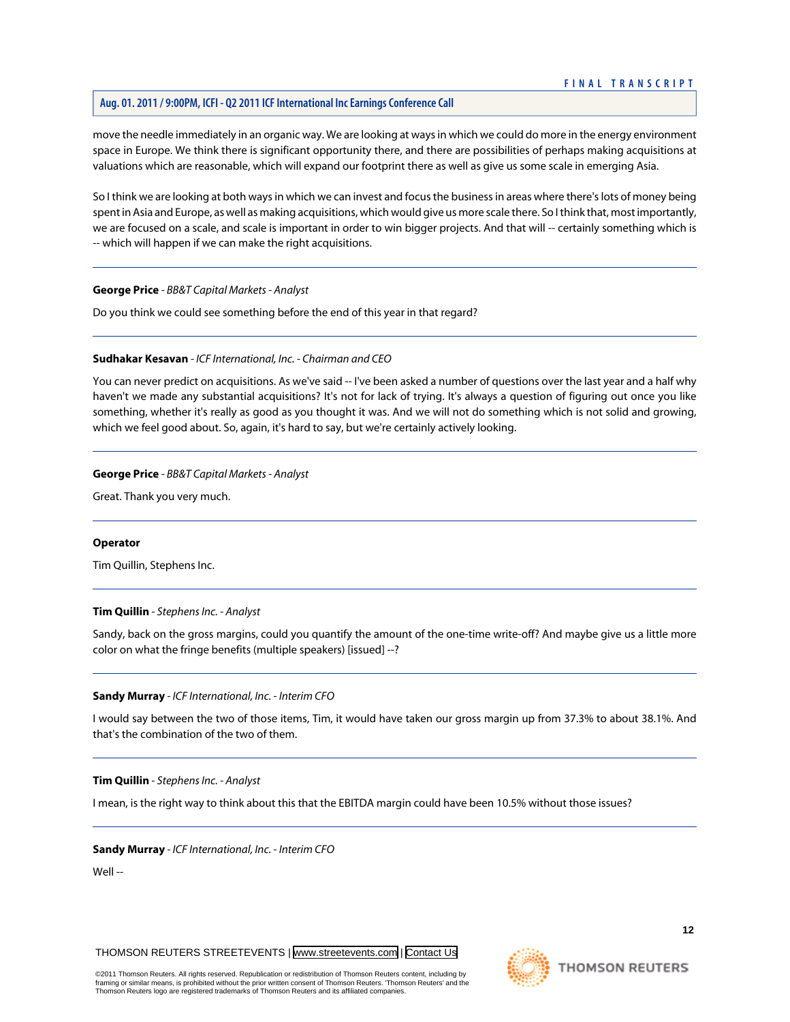# **Aug. 01. 2011 / 9:00PM, ICFI - Q2 2011 ICF International Inc Earnings Conference Call**

move the needle immediately in an organic way. We are looking at ways in which we could do more in the energy environment space in Europe. We think there is significant opportunity there, and there are possibilities of perhaps making acquisitions at valuations which are reasonable, which will expand our footprint there as well as give us some scale in emerging Asia.

So I think we are looking at both ways in which we can invest and focus the business in areas where there's lots of money being spent in Asia and Europe, as well as making acquisitions, which would give us more scale there. So I think that, most importantly, we are focused on a scale, and scale is important in order to win bigger projects. And that will -- certainly something which is -- which will happen if we can make the right acquisitions.

# **George Price** *- BB&T Capital Markets - Analyst*

Do you think we could see something before the end of this year in that regard?

# **Sudhakar Kesavan** *- ICF International, Inc. - Chairman and CEO*

You can never predict on acquisitions. As we've said -- I've been asked a number of questions over the last year and a half why haven't we made any substantial acquisitions? It's not for lack of trying. It's always a question of figuring out once you like something, whether it's really as good as you thought it was. And we will not do something which is not solid and growing, which we feel good about. So, again, it's hard to say, but we're certainly actively looking.

# **George Price** *- BB&T Capital Markets - Analyst*

Great. Thank you very much.

# <span id="page-12-0"></span>**Operator**

Tim Quillin, Stephens Inc.

# **Tim Quillin** *- Stephens Inc. - Analyst*

Sandy, back on the gross margins, could you quantify the amount of the one-time write-off? And maybe give us a little more color on what the fringe benefits (multiple speakers) [issued] --?

# **Sandy Murray** *- ICF International, Inc. - Interim CFO*

I would say between the two of those items, Tim, it would have taken our gross margin up from 37.3% to about 38.1%. And that's the combination of the two of them.

# **Tim Quillin** *- Stephens Inc. - Analyst*

I mean, is the right way to think about this that the EBITDA margin could have been 10.5% without those issues?

# **Sandy Murray** *- ICF International, Inc. - Interim CFO*

Well --

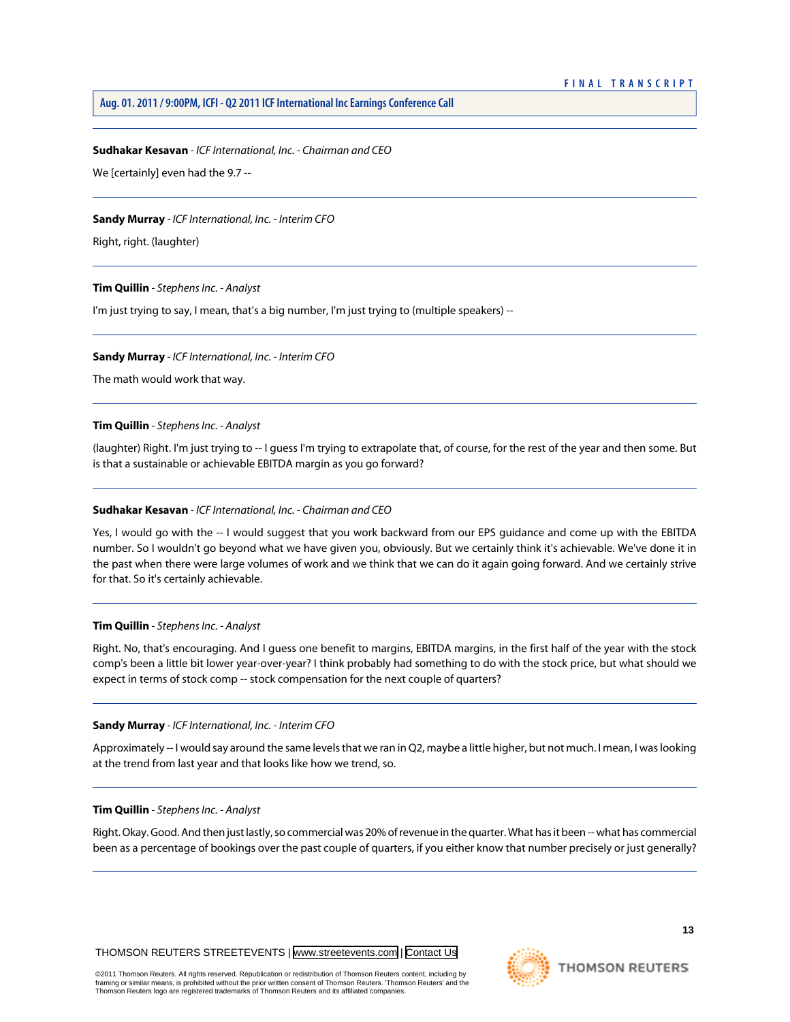# **Sudhakar Kesavan** *- ICF International, Inc. - Chairman and CEO*

We [certainly] even had the 9.7 --

# **Sandy Murray** *- ICF International, Inc. - Interim CFO*

Right, right. (laughter)

# **Tim Quillin** *- Stephens Inc. - Analyst*

I'm just trying to say, I mean, that's a big number, I'm just trying to (multiple speakers) --

# **Sandy Murray** *- ICF International, Inc. - Interim CFO*

The math would work that way.

# **Tim Quillin** *- Stephens Inc. - Analyst*

(laughter) Right. I'm just trying to -- I guess I'm trying to extrapolate that, of course, for the rest of the year and then some. But is that a sustainable or achievable EBITDA margin as you go forward?

# **Sudhakar Kesavan** *- ICF International, Inc. - Chairman and CEO*

Yes, I would go with the -- I would suggest that you work backward from our EPS guidance and come up with the EBITDA number. So I wouldn't go beyond what we have given you, obviously. But we certainly think it's achievable. We've done it in the past when there were large volumes of work and we think that we can do it again going forward. And we certainly strive for that. So it's certainly achievable.

# **Tim Quillin** *- Stephens Inc. - Analyst*

Right. No, that's encouraging. And I guess one benefit to margins, EBITDA margins, in the first half of the year with the stock comp's been a little bit lower year-over-year? I think probably had something to do with the stock price, but what should we expect in terms of stock comp -- stock compensation for the next couple of quarters?

# **Sandy Murray** *- ICF International, Inc. - Interim CFO*

Approximately -- I would say around the same levels that we ran in Q2, maybe a little higher, but not much. I mean, I was looking at the trend from last year and that looks like how we trend, so.

# **Tim Quillin** *- Stephens Inc. - Analyst*

Right. Okay. Good. And then just lastly, so commercial was 20% of revenue in the quarter. What has it been -- what has commercial been as a percentage of bookings over the past couple of quarters, if you either know that number precisely or just generally?

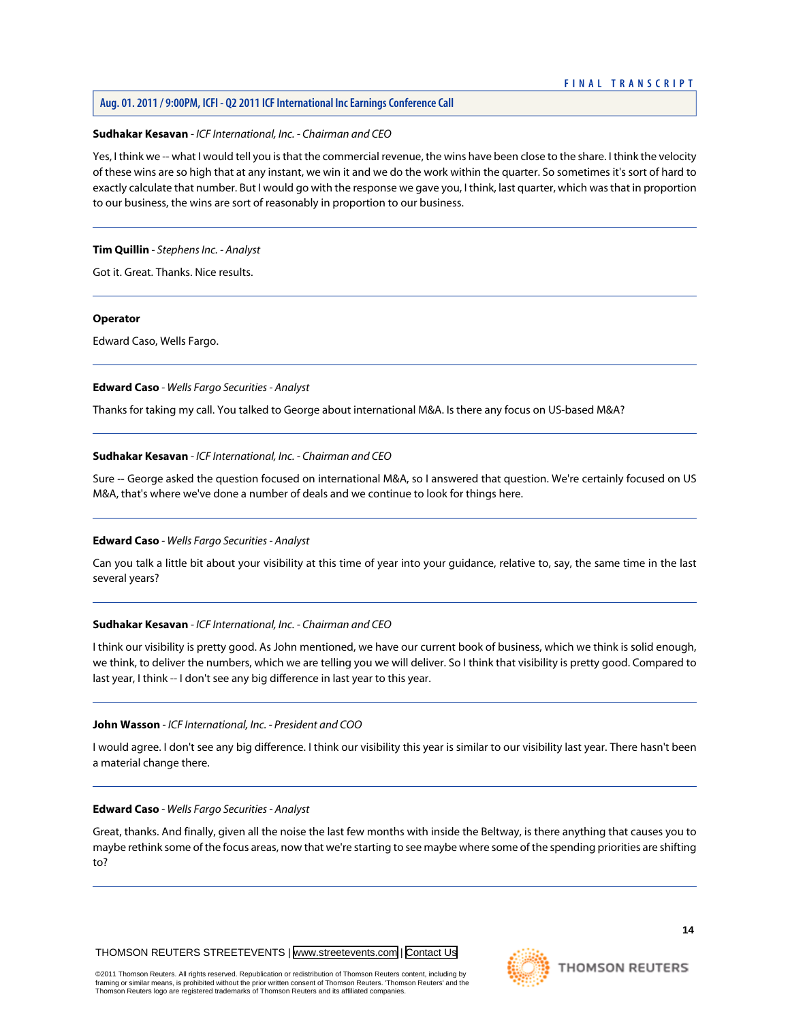# **Aug. 01. 2011 / 9:00PM, ICFI - Q2 2011 ICF International Inc Earnings Conference Call**

# **Sudhakar Kesavan** *- ICF International, Inc. - Chairman and CEO*

Yes, I think we -- what I would tell you is that the commercial revenue, the wins have been close to the share. I think the velocity of these wins are so high that at any instant, we win it and we do the work within the quarter. So sometimes it's sort of hard to exactly calculate that number. But I would go with the response we gave you, I think, last quarter, which was that in proportion to our business, the wins are sort of reasonably in proportion to our business.

# **Tim Quillin** *- Stephens Inc. - Analyst*

Got it. Great. Thanks. Nice results.

#### **Operator**

<span id="page-14-0"></span>Edward Caso, Wells Fargo.

# **Edward Caso** *- Wells Fargo Securities - Analyst*

Thanks for taking my call. You talked to George about international M&A. Is there any focus on US-based M&A?

# **Sudhakar Kesavan** *- ICF International, Inc. - Chairman and CEO*

Sure -- George asked the question focused on international M&A, so I answered that question. We're certainly focused on US M&A, that's where we've done a number of deals and we continue to look for things here.

# **Edward Caso** *- Wells Fargo Securities - Analyst*

Can you talk a little bit about your visibility at this time of year into your guidance, relative to, say, the same time in the last several years?

# **Sudhakar Kesavan** *- ICF International, Inc. - Chairman and CEO*

I think our visibility is pretty good. As John mentioned, we have our current book of business, which we think is solid enough, we think, to deliver the numbers, which we are telling you we will deliver. So I think that visibility is pretty good. Compared to last year, I think -- I don't see any big difference in last year to this year.

# **John Wasson** *- ICF International, Inc. - President and COO*

I would agree. I don't see any big difference. I think our visibility this year is similar to our visibility last year. There hasn't been a material change there.

#### **Edward Caso** *- Wells Fargo Securities - Analyst*

Great, thanks. And finally, given all the noise the last few months with inside the Beltway, is there anything that causes you to maybe rethink some of the focus areas, now that we're starting to see maybe where some of the spending priorities are shifting to?

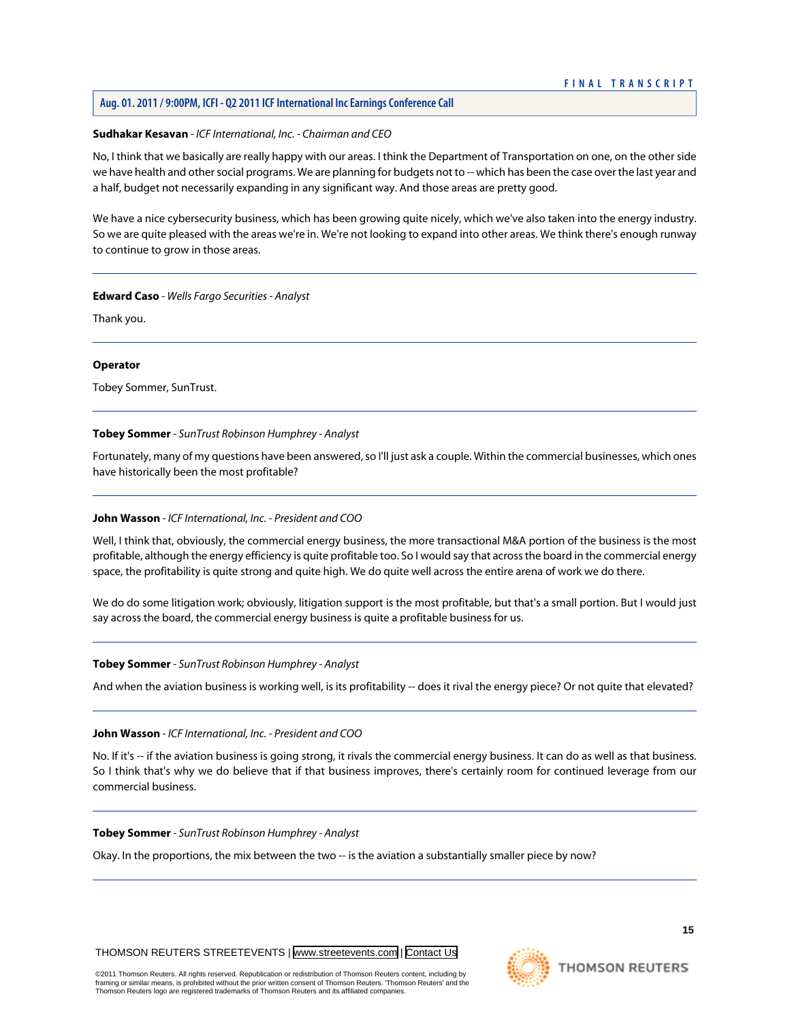# **Aug. 01. 2011 / 9:00PM, ICFI - Q2 2011 ICF International Inc Earnings Conference Call**

# **Sudhakar Kesavan** *- ICF International, Inc. - Chairman and CEO*

No, I think that we basically are really happy with our areas. I think the Department of Transportation on one, on the other side we have health and other social programs. We are planning for budgets not to -- which has been the case over the last year and a half, budget not necessarily expanding in any significant way. And those areas are pretty good.

We have a nice cybersecurity business, which has been growing quite nicely, which we've also taken into the energy industry. So we are quite pleased with the areas we're in. We're not looking to expand into other areas. We think there's enough runway to continue to grow in those areas.

# **Edward Caso** *- Wells Fargo Securities - Analyst*

Thank you.

# **Operator**

<span id="page-15-0"></span>Tobey Sommer, SunTrust.

# **Tobey Sommer** *- SunTrust Robinson Humphrey - Analyst*

Fortunately, many of my questions have been answered, so I'll just ask a couple. Within the commercial businesses, which ones have historically been the most profitable?

# **John Wasson** *- ICF International, Inc. - President and COO*

Well, I think that, obviously, the commercial energy business, the more transactional M&A portion of the business is the most profitable, although the energy efficiency is quite profitable too. So I would say that across the board in the commercial energy space, the profitability is quite strong and quite high. We do quite well across the entire arena of work we do there.

We do do some litigation work; obviously, litigation support is the most profitable, but that's a small portion. But I would just say across the board, the commercial energy business is quite a profitable business for us.

# **Tobey Sommer** *- SunTrust Robinson Humphrey - Analyst*

And when the aviation business is working well, is its profitability -- does it rival the energy piece? Or not quite that elevated?

# **John Wasson** *- ICF International, Inc. - President and COO*

No. If it's -- if the aviation business is going strong, it rivals the commercial energy business. It can do as well as that business. So I think that's why we do believe that if that business improves, there's certainly room for continued leverage from our commercial business.

# **Tobey Sommer** *- SunTrust Robinson Humphrey - Analyst*

Okay. In the proportions, the mix between the two -- is the aviation a substantially smaller piece by now?

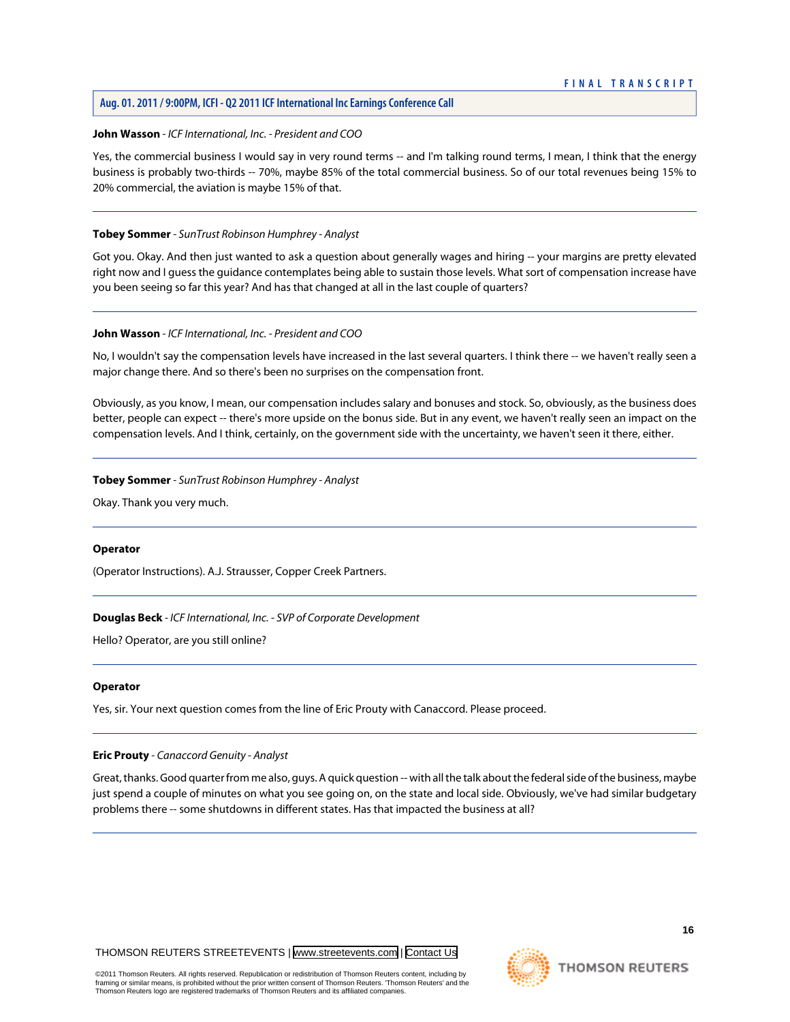# **Aug. 01. 2011 / 9:00PM, ICFI - Q2 2011 ICF International Inc Earnings Conference Call**

# **John Wasson** *- ICF International, Inc. - President and COO*

Yes, the commercial business I would say in very round terms -- and I'm talking round terms, I mean, I think that the energy business is probably two-thirds -- 70%, maybe 85% of the total commercial business. So of our total revenues being 15% to 20% commercial, the aviation is maybe 15% of that.

#### **Tobey Sommer** *- SunTrust Robinson Humphrey - Analyst*

Got you. Okay. And then just wanted to ask a question about generally wages and hiring -- your margins are pretty elevated right now and I guess the guidance contemplates being able to sustain those levels. What sort of compensation increase have you been seeing so far this year? And has that changed at all in the last couple of quarters?

# **John Wasson** *- ICF International, Inc. - President and COO*

No, I wouldn't say the compensation levels have increased in the last several quarters. I think there -- we haven't really seen a major change there. And so there's been no surprises on the compensation front.

Obviously, as you know, I mean, our compensation includes salary and bonuses and stock. So, obviously, as the business does better, people can expect -- there's more upside on the bonus side. But in any event, we haven't really seen an impact on the compensation levels. And I think, certainly, on the government side with the uncertainty, we haven't seen it there, either.

#### **Tobey Sommer** *- SunTrust Robinson Humphrey - Analyst*

Okay. Thank you very much.

#### **Operator**

(Operator Instructions). A.J. Strausser, Copper Creek Partners.

# **Douglas Beck** *- ICF International, Inc. - SVP of Corporate Development*

Hello? Operator, are you still online?

#### <span id="page-16-0"></span>**Operator**

Yes, sir. Your next question comes from the line of Eric Prouty with Canaccord. Please proceed.

# **Eric Prouty** *- Canaccord Genuity - Analyst*

Great, thanks. Good quarter from me also, guys. A quick question -- with all the talk about the federal side of the business, maybe just spend a couple of minutes on what you see going on, on the state and local side. Obviously, we've had similar budgetary problems there -- some shutdowns in different states. Has that impacted the business at all?

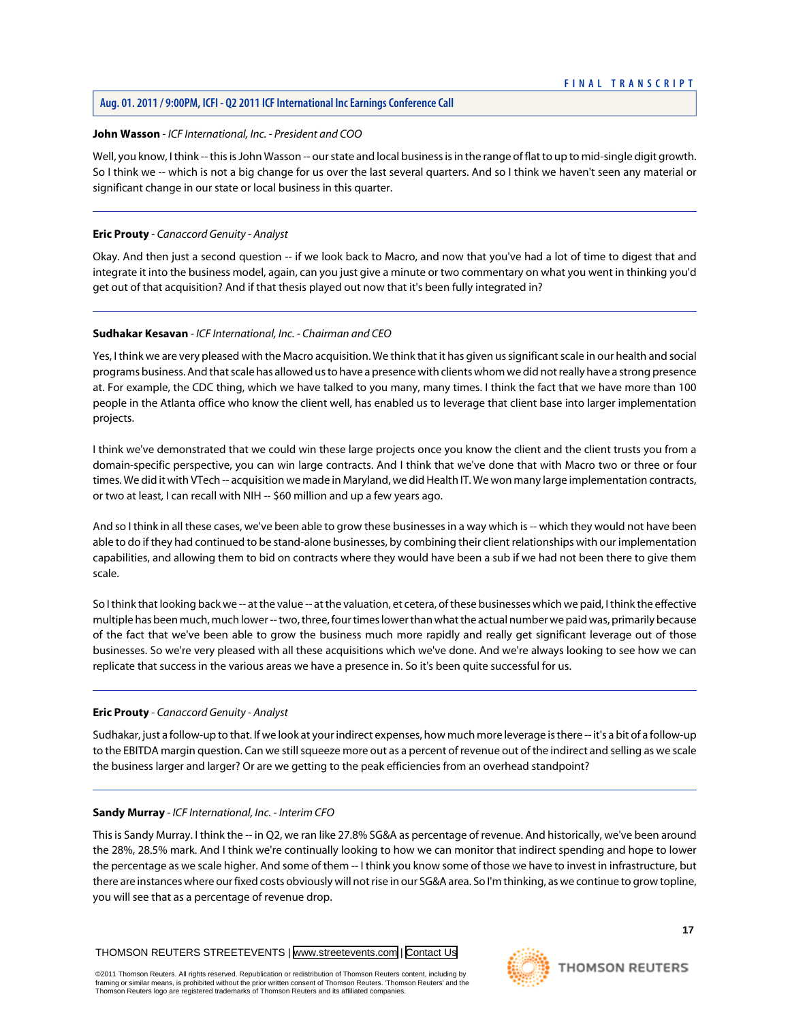# **John Wasson** *- ICF International, Inc. - President and COO*

Well, you know, I think -- this is John Wasson -- our state and local business is in the range of flat to up to mid-single digit growth. So I think we -- which is not a big change for us over the last several quarters. And so I think we haven't seen any material or significant change in our state or local business in this quarter.

# **Eric Prouty** *- Canaccord Genuity - Analyst*

Okay. And then just a second question -- if we look back to Macro, and now that you've had a lot of time to digest that and integrate it into the business model, again, can you just give a minute or two commentary on what you went in thinking you'd get out of that acquisition? And if that thesis played out now that it's been fully integrated in?

# **Sudhakar Kesavan** *- ICF International, Inc. - Chairman and CEO*

Yes, I think we are very pleased with the Macro acquisition. We think that it has given us significant scale in our health and social programs business. And that scale has allowed us to have a presence with clients whom we did not really have a strong presence at. For example, the CDC thing, which we have talked to you many, many times. I think the fact that we have more than 100 people in the Atlanta office who know the client well, has enabled us to leverage that client base into larger implementation projects.

I think we've demonstrated that we could win these large projects once you know the client and the client trusts you from a domain-specific perspective, you can win large contracts. And I think that we've done that with Macro two or three or four times. We did it with VTech -- acquisition we made in Maryland, we did Health IT. We won many large implementation contracts, or two at least, I can recall with NIH -- \$60 million and up a few years ago.

And so I think in all these cases, we've been able to grow these businesses in a way which is -- which they would not have been able to do if they had continued to be stand-alone businesses, by combining their client relationships with our implementation capabilities, and allowing them to bid on contracts where they would have been a sub if we had not been there to give them scale.

So I think that looking back we -- at the value -- at the valuation, et cetera, of these businesses which we paid, I think the effective multiple has been much, much lower -- two, three, four times lower than what the actual number we paid was, primarily because of the fact that we've been able to grow the business much more rapidly and really get significant leverage out of those businesses. So we're very pleased with all these acquisitions which we've done. And we're always looking to see how we can replicate that success in the various areas we have a presence in. So it's been quite successful for us.

# **Eric Prouty** *- Canaccord Genuity - Analyst*

Sudhakar, just a follow-up to that. If we look at your indirect expenses, how much more leverage is there -- it's a bit of a follow-up to the EBITDA margin question. Can we still squeeze more out as a percent of revenue out of the indirect and selling as we scale the business larger and larger? Or are we getting to the peak efficiencies from an overhead standpoint?

# **Sandy Murray** *- ICF International, Inc. - Interim CFO*

This is Sandy Murray. I think the -- in Q2, we ran like 27.8% SG&A as percentage of revenue. And historically, we've been around the 28%, 28.5% mark. And I think we're continually looking to how we can monitor that indirect spending and hope to lower the percentage as we scale higher. And some of them -- I think you know some of those we have to invest in infrastructure, but there are instances where our fixed costs obviously will not rise in our SG&A area. So I'm thinking, as we continue to grow topline, you will see that as a percentage of revenue drop.



**17**